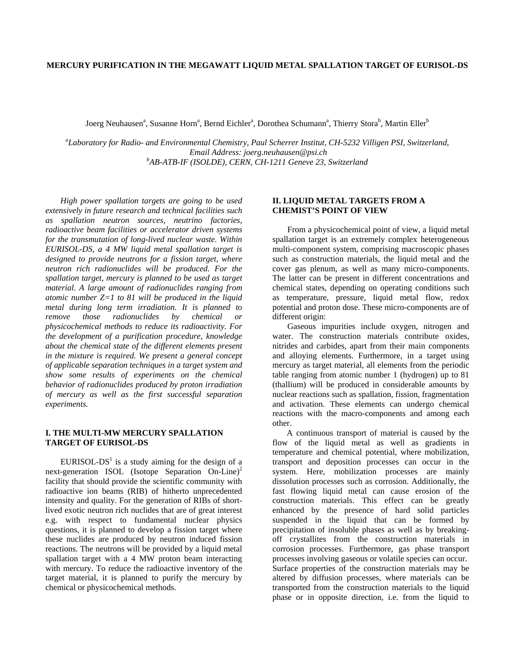# **MERCURY PURIFICATION IN THE MEGAWATT LIQUID METAL SPALLATION TARGET OF EURISOL-DS**

Joerg Neuhausen<sup>a</sup>, Susanne Horn<sup>a</sup>, Bernd Eichler<sup>a</sup>, Dorothea Schumann<sup>a</sup>, Thierry Stora<sup>b</sup>, Martin Eller<sup>b</sup>

*a Laboratory for Radio- and Environmental Chemistry, Paul Scherrer Institut, CH-5232 Villigen PSI, Switzerland, Email Address: joerg.neuhausen@psi.ch b AB-ATB-IF (ISOLDE), CERN, CH-1211 Geneve 23, Switzerland* 

*High power spallation targets are going to be used extensively in future research and technical facilities such as spallation neutron sources, neutrino factories, radioactive beam facilities or accelerator driven systems for the transmutation of long-lived nuclear waste. Within EURISOL-DS, a 4 MW liquid metal spallation target is designed to provide neutrons for a fission target, where neutron rich radionuclides will be produced. For the spallation target, mercury is planned to be used as target material. A large amount of radionuclides ranging from atomic number Z=1 to 81 will be produced in the liquid metal during long term irradiation. It is planned to remove those radionuclides by chemical or physicochemical methods to reduce its radioactivity. For the development of a purification procedure, knowledge about the chemical state of the different elements present in the mixture is required. We present a general concept of applicable separation techniques in a target system and show some results of experiments on the chemical behavior of radionuclides produced by proton irradiation of mercury as well as the first successful separation experiments.* 

#### **I. THE MULTI-MW MERCURY SPALLATION TARGET OF EURISOL-DS**

 $EURISOL-DS<sup>1</sup>$  is a study aiming for the design of a next-generation ISOL (Isotope Separation On-Line)<sup>2</sup> facility that should provide the scientific community with radioactive ion beams (RIB) of hitherto unprecedented intensity and quality. For the generation of RIBs of shortlived exotic neutron rich nuclides that are of great interest e.g. with respect to fundamental nuclear physics questions, it is planned to develop a fission target where these nuclides are produced by neutron induced fission reactions. The neutrons will be provided by a liquid metal spallation target with a 4 MW proton beam interacting with mercury. To reduce the radioactive inventory of the target material, it is planned to purify the mercury by chemical or physicochemical methods.

## **II. LIQUID METAL TARGETS FROM A CHEMIST'S POINT OF VIEW**

From a physicochemical point of view, a liquid metal spallation target is an extremely complex heterogeneous multi-component system, comprising macroscopic phases such as construction materials, the liquid metal and the cover gas plenum, as well as many micro-components. The latter can be present in different concentrations and chemical states, depending on operating conditions such as temperature, pressure, liquid metal flow, redox potential and proton dose. These micro-components are of different origin:

Gaseous impurities include oxygen, nitrogen and water. The construction materials contribute oxides, nitrides and carbides, apart from their main components and alloying elements. Furthermore, in a target using mercury as target material, all elements from the periodic table ranging from atomic number 1 (hydrogen) up to 81 (thallium) will be produced in considerable amounts by nuclear reactions such as spallation, fission, fragmentation and activation. These elements can undergo chemical reactions with the macro-components and among each other.

A continuous transport of material is caused by the flow of the liquid metal as well as gradients in temperature and chemical potential, where mobilization, transport and deposition processes can occur in the system. Here, mobilization processes are mainly dissolution processes such as corrosion. Additionally, the fast flowing liquid metal can cause erosion of the construction materials. This effect can be greatly enhanced by the presence of hard solid particles suspended in the liquid that can be formed by precipitation of insoluble phases as well as by breakingoff crystallites from the construction materials in corrosion processes. Furthermore, gas phase transport processes involving gaseous or volatile species can occur. Surface properties of the construction materials may be altered by diffusion processes, where materials can be transported from the construction materials to the liquid phase or in opposite direction, i.e. from the liquid to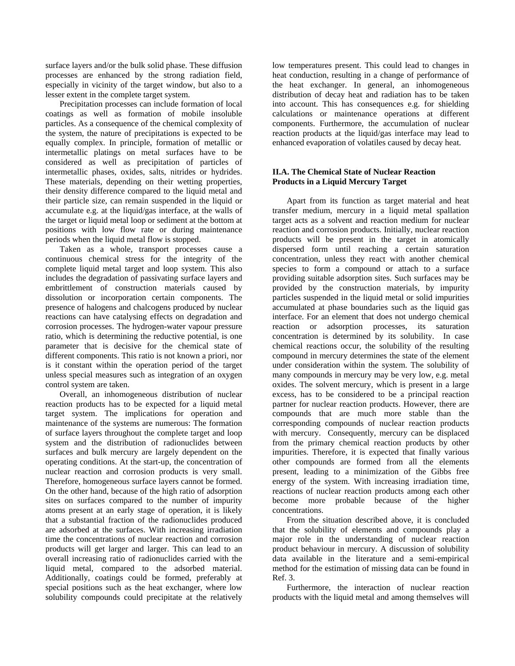surface layers and/or the bulk solid phase. These diffusion processes are enhanced by the strong radiation field, especially in vicinity of the target window, but also to a lesser extent in the complete target system.

Precipitation processes can include formation of local coatings as well as formation of mobile insoluble particles. As a consequence of the chemical complexity of the system, the nature of precipitations is expected to be equally complex. In principle, formation of metallic or intermetallic platings on metal surfaces have to be considered as well as precipitation of particles of intermetallic phases, oxides, salts, nitrides or hydrides. These materials, depending on their wetting properties, their density difference compared to the liquid metal and their particle size, can remain suspended in the liquid or accumulate e.g. at the liquid/gas interface, at the walls of the target or liquid metal loop or sediment at the bottom at positions with low flow rate or during maintenance periods when the liquid metal flow is stopped.

Taken as a whole, transport processes cause a continuous chemical stress for the integrity of the complete liquid metal target and loop system. This also includes the degradation of passivating surface layers and embrittlement of construction materials caused by dissolution or incorporation certain components. The presence of halogens and chalcogens produced by nuclear reactions can have catalysing effects on degradation and corrosion processes. The hydrogen-water vapour pressure ratio, which is determining the reductive potential, is one parameter that is decisive for the chemical state of different components. This ratio is not known a priori, nor is it constant within the operation period of the target unless special measures such as integration of an oxygen control system are taken.

Overall, an inhomogeneous distribution of nuclear reaction products has to be expected for a liquid metal target system. The implications for operation and maintenance of the systems are numerous: The formation of surface layers throughout the complete target and loop system and the distribution of radionuclides between surfaces and bulk mercury are largely dependent on the operating conditions. At the start-up, the concentration of nuclear reaction and corrosion products is very small. Therefore, homogeneous surface layers cannot be formed. On the other hand, because of the high ratio of adsorption sites on surfaces compared to the number of impurity atoms present at an early stage of operation, it is likely that a substantial fraction of the radionuclides produced are adsorbed at the surfaces. With increasing irradiation time the concentrations of nuclear reaction and corrosion products will get larger and larger. This can lead to an overall increasing ratio of radionuclides carried with the liquid metal, compared to the adsorbed material. Additionally, coatings could be formed, preferably at special positions such as the heat exchanger, where low solubility compounds could precipitate at the relatively

low temperatures present. This could lead to changes in heat conduction, resulting in a change of performance of the heat exchanger. In general, an inhomogeneous distribution of decay heat and radiation has to be taken into account. This has consequences e.g. for shielding calculations or maintenance operations at different components. Furthermore, the accumulation of nuclear reaction products at the liquid/gas interface may lead to enhanced evaporation of volatiles caused by decay heat.

# **II.A. The Chemical State of Nuclear Reaction Products in a Liquid Mercury Target**

Apart from its function as target material and heat transfer medium, mercury in a liquid metal spallation target acts as a solvent and reaction medium for nuclear reaction and corrosion products. Initially, nuclear reaction products will be present in the target in atomically dispersed form until reaching a certain saturation concentration, unless they react with another chemical species to form a compound or attach to a surface providing suitable adsorption sites. Such surfaces may be provided by the construction materials, by impurity particles suspended in the liquid metal or solid impurities accumulated at phase boundaries such as the liquid gas interface. For an element that does not undergo chemical reaction or adsorption processes, its saturation concentration is determined by its solubility. In case chemical reactions occur, the solubility of the resulting compound in mercury determines the state of the element under consideration within the system. The solubility of many compounds in mercury may be very low, e.g. metal oxides. The solvent mercury, which is present in a large excess, has to be considered to be a principal reaction partner for nuclear reaction products. However, there are compounds that are much more stable than the corresponding compounds of nuclear reaction products with mercury. Consequently, mercury can be displaced from the primary chemical reaction products by other impurities. Therefore, it is expected that finally various other compounds are formed from all the elements present, leading to a minimization of the Gibbs free energy of the system. With increasing irradiation time, reactions of nuclear reaction products among each other become more probable because of the higher concentrations.

From the situation described above, it is concluded that the solubility of elements and compounds play a major role in the understanding of nuclear reaction product behaviour in mercury. A discussion of solubility data available in the literature and a semi-empirical method for the estimation of missing data can be found in Ref. 3.

Furthermore, the interaction of nuclear reaction products with the liquid metal and among themselves will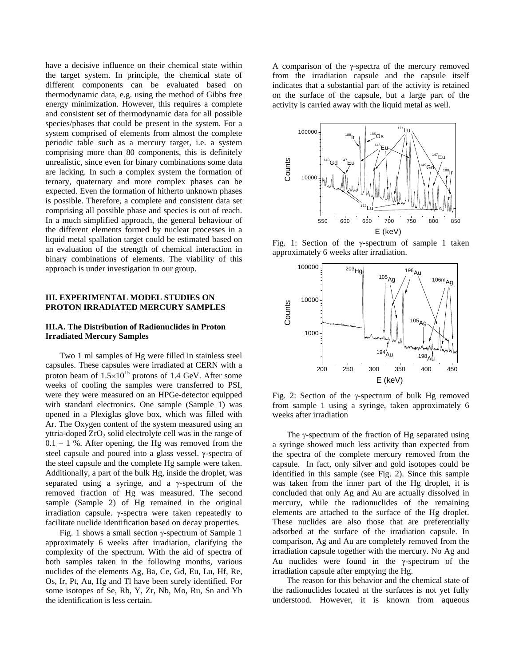have a decisive influence on their chemical state within the target system. In principle, the chemical state of different components can be evaluated based on thermodynamic data, e.g. using the method of Gibbs free energy minimization. However, this requires a complete and consistent set of thermodynamic data for all possible species/phases that could be present in the system. For a system comprised of elements from almost the complete periodic table such as a mercury target, i.e. a system comprising more than 80 components, this is definitely unrealistic, since even for binary combinations some data are lacking. In such a complex system the formation of ternary, quaternary and more complex phases can be expected. Even the formation of hitherto unknown phases is possible. Therefore, a complete and consistent data set comprising all possible phase and species is out of reach. In a much simplified approach, the general behaviour of the different elements formed by nuclear processes in a liquid metal spallation target could be estimated based on an evaluation of the strength of chemical interaction in binary combinations of elements. The viability of this approach is under investigation in our group.

#### **III. EXPERIMENTAL MODEL STUDIES ON PROTON IRRADIATED MERCURY SAMPLES**

#### **III.A. The Distribution of Radionuclides in Proton Irradiated Mercury Samples**

Two 1 ml samples of Hg were filled in stainless steel capsules. These capsules were irradiated at CERN with a proton beam of  $1.5\times10^{15}$  protons of 1.4 GeV. After some weeks of cooling the samples were transferred to PSI, were they were measured on an HPGe-detector equipped with standard electronics. One sample (Sample 1) was opened in a Plexiglas glove box, which was filled with Ar. The Oxygen content of the system measured using an yttria-doped  $ZrO<sub>2</sub>$  solid electrolyte cell was in the range of  $0.1 - 1$  %. After opening, the Hg was removed from the steel capsule and poured into a glass vessel.  $\gamma$ -spectra of the steel capsule and the complete Hg sample were taken. Additionally, a part of the bulk Hg, inside the droplet, was separated using a syringe, and a  $\gamma$ -spectrum of the removed fraction of Hg was measured. The second sample (Sample 2) of Hg remained in the original irradiation capsule.  $\gamma$ -spectra were taken repeatedly to facilitate nuclide identification based on decay properties.

Fig. 1 shows a small section  $\gamma$ -spectrum of Sample 1 approximately 6 weeks after irradiation, clarifying the complexity of the spectrum. With the aid of spectra of both samples taken in the following months, various nuclides of the elements Ag, Ba, Ce, Gd, Eu, Lu, Hf, Re, Os, Ir, Pt, Au, Hg and Tl have been surely identified. For some isotopes of Se, Rb, Y, Zr, Nb, Mo, Ru, Sn and Yb the identification is less certain.

A comparison of the  $\gamma$ -spectra of the mercury removed from the irradiation capsule and the capsule itself indicates that a substantial part of the activity is retained on the surface of the capsule, but a large part of the activity is carried away with the liquid metal as well.



Fig. 1: Section of the  $\gamma$ -spectrum of sample 1 taken approximately 6 weeks after irradiation.



Fig. 2: Section of the  $\gamma$ -spectrum of bulk Hg removed from sample 1 using a syringe, taken approximately 6 weeks after irradiation

The  $\gamma$ -spectrum of the fraction of Hg separated using a syringe showed much less activity than expected from the spectra of the complete mercury removed from the capsule. In fact, only silver and gold isotopes could be identified in this sample (see Fig. 2). Since this sample was taken from the inner part of the Hg droplet, it is concluded that only Ag and Au are actually dissolved in mercury, while the radionuclides of the remaining elements are attached to the surface of the Hg droplet. These nuclides are also those that are preferentially adsorbed at the surface of the irradiation capsule. In comparison, Ag and Au are completely removed from the irradiation capsule together with the mercury. No Ag and Au nuclides were found in the  $\gamma$ -spectrum of the irradiation capsule after emptying the Hg.

The reason for this behavior and the chemical state of the radionuclides located at the surfaces is not yet fully understood. However, it is known from aqueous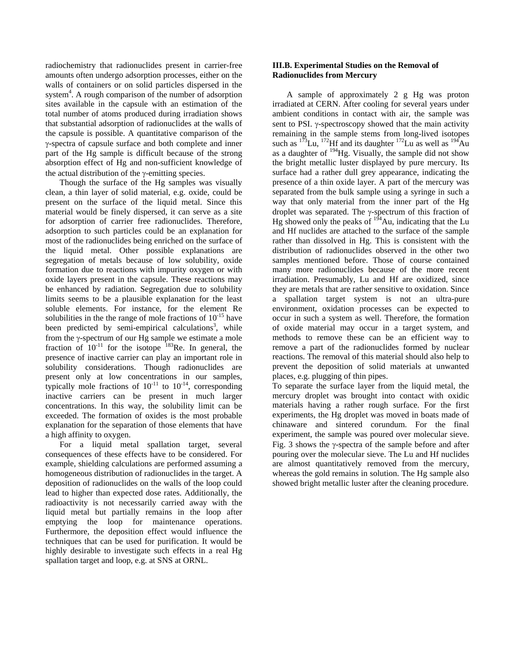radiochemistry that radionuclides present in carrier-free amounts often undergo adsorption processes, either on the walls of containers or on solid particles dispersed in the system<sup>4</sup>. A rough comparison of the number of adsorption sites available in the capsule with an estimation of the total number of atoms produced during irradiation shows that substantial adsorption of radionuclides at the walls of the capsule is possible. A quantitative comparison of the -spectra of capsule surface and both complete and inner part of the Hg sample is difficult because of the strong absorption effect of Hg and non-sufficient knowledge of the actual distribution of the  $v$ -emitting species.

Though the surface of the Hg samples was visually clean, a thin layer of solid material, e.g. oxide, could be present on the surface of the liquid metal. Since this material would be finely dispersed, it can serve as a site for adsorption of carrier free radionuclides. Therefore, adsorption to such particles could be an explanation for most of the radionuclides being enriched on the surface of the liquid metal. Other possible explanations are segregation of metals because of low solubility, oxide formation due to reactions with impurity oxygen or with oxide layers present in the capsule. These reactions may be enhanced by radiation. Segregation due to solubility limits seems to be a plausible explanation for the least soluble elements. For instance, for the element Re solubilities in the the range of mole fractions of  $10^{-15}$  have been predicted by semi-empirical calculations<sup>3</sup>, while from the  $\gamma$ -spectrum of our Hg sample we estimate a mole fraction of  $10^{-11}$  for the isotope <sup>183</sup>Re. In general, the presence of inactive carrier can play an important role in solubility considerations. Though radionuclides are present only at low concentrations in our samples, typically mole fractions of  $10^{-11}$  to  $10^{-14}$ , corresponding inactive carriers can be present in much larger concentrations. In this way, the solubility limit can be exceeded. The formation of oxides is the most probable explanation for the separation of those elements that have a high affinity to oxygen.

For a liquid metal spallation target, several consequences of these effects have to be considered. For example, shielding calculations are performed assuming a homogeneous distribution of radionuclides in the target. A deposition of radionuclides on the walls of the loop could lead to higher than expected dose rates. Additionally, the radioactivity is not necessarily carried away with the liquid metal but partially remains in the loop after emptying the loop for maintenance operations. Furthermore, the deposition effect would influence the techniques that can be used for purification. It would be highly desirable to investigate such effects in a real Hg spallation target and loop, e.g. at SNS at ORNL.

# **III.B. Experimental Studies on the Removal of Radionuclides from Mercury**

A sample of approximately 2 g Hg was proton irradiated at CERN. After cooling for several years under ambient conditions in contact with air, the sample was sent to PSI.  $\gamma$ -spectroscopy showed that the main activity remaining in the sample stems from long-lived isotopes such as  $173$ Lu,  $172$ Hf and its daughter  $172$ Lu as well as  $194$ Au as a daughter of  $194$  Hg. Visually, the sample did not show the bright metallic luster displayed by pure mercury. Its surface had a rather dull grey appearance, indicating the presence of a thin oxide layer. A part of the mercury was separated from the bulk sample using a syringe in such a way that only material from the inner part of the Hg droplet was separated. The  $\gamma$ -spectrum of this fraction of Hg showed only the peaks of  $194$ Au, indicating that the Lu and Hf nuclides are attached to the surface of the sample rather than dissolved in Hg. This is consistent with the distribution of radionuclides observed in the other two samples mentioned before. Those of course contained many more radionuclides because of the more recent irradiation. Presumably, Lu and Hf are oxidized, since they are metals that are rather sensitive to oxidation. Since a spallation target system is not an ultra-pure environment, oxidation processes can be expected to occur in such a system as well. Therefore, the formation of oxide material may occur in a target system, and methods to remove these can be an efficient way to remove a part of the radionuclides formed by nuclear reactions. The removal of this material should also help to prevent the deposition of solid materials at unwanted places, e.g. plugging of thin pipes.

To separate the surface layer from the liquid metal, the mercury droplet was brought into contact with oxidic materials having a rather rough surface. For the first experiments, the Hg droplet was moved in boats made of chinaware and sintered corundum. For the final experiment, the sample was poured over molecular sieve. Fig. 3 shows the  $\gamma$ -spectra of the sample before and after pouring over the molecular sieve. The Lu and Hf nuclides are almost quantitatively removed from the mercury, whereas the gold remains in solution. The Hg sample also showed bright metallic luster after the cleaning procedure.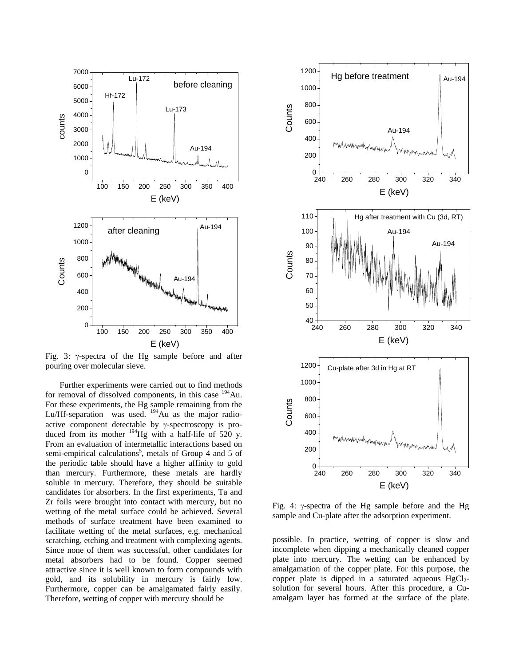

Fig. 3:  $\gamma$ -spectra of the Hg sample before and after pouring over molecular sieve.

Further experiments were carried out to find methods for removal of dissolved components, in this case  $194$ Au. For these experiments, the Hg sample remaining from the Lu/Hf-separation was used.  $194$ Au as the major radioactive component detectable by  $\gamma$ -spectroscopy is produced from its mother  $^{194}$ Hg with a half-life of 520 y. From an evaluation of intermetallic interactions based on semi-empirical calculations<sup>5</sup>, metals of Group 4 and 5 of the periodic table should have a higher affinity to gold than mercury. Furthermore, these metals are hardly soluble in mercury. Therefore, they should be suitable candidates for absorbers. In the first experiments, Ta and Zr foils were brought into contact with mercury, but no wetting of the metal surface could be achieved. Several methods of surface treatment have been examined to facilitate wetting of the metal surfaces, e.g. mechanical scratching, etching and treatment with complexing agents. Since none of them was successful, other candidates for metal absorbers had to be found. Copper seemed attractive since it is well known to form compounds with gold, and its solubility in mercury is fairly low. Furthermore, copper can be amalgamated fairly easily. Therefore, wetting of copper with mercury should be



Fig. 4:  $\gamma$ -spectra of the Hg sample before and the Hg sample and Cu-plate after the adsorption experiment.

possible. In practice, wetting of copper is slow and incomplete when dipping a mechanically cleaned copper plate into mercury. The wetting can be enhanced by amalgamation of the copper plate. For this purpose, the copper plate is dipped in a saturated aqueous  $HgCl<sub>2</sub>$ solution for several hours. After this procedure, a Cuamalgam layer has formed at the surface of the plate.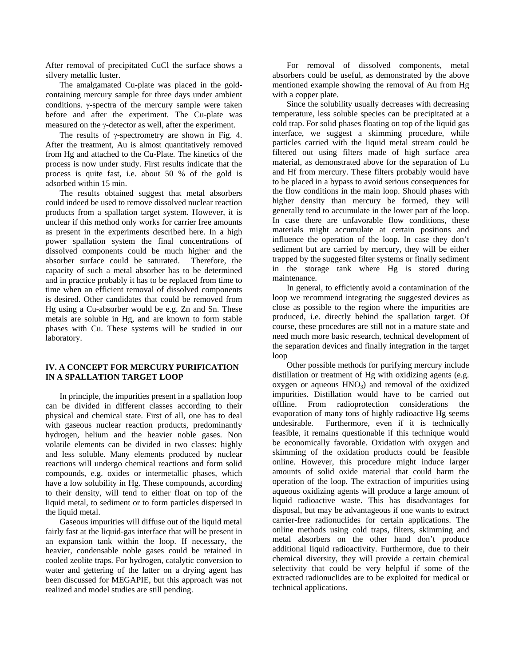After removal of precipitated CuCl the surface shows a silvery metallic luster.

The amalgamated Cu-plate was placed in the goldcontaining mercury sample for three days under ambient conditions.  $\gamma$ -spectra of the mercury sample were taken before and after the experiment. The Cu-plate was measured on the  $\gamma$ -detector as well, after the experiment.

The results of  $\gamma$ -spectrometry are shown in Fig. 4. After the treatment, Au is almost quantitatively removed from Hg and attached to the Cu-Plate. The kinetics of the process is now under study. First results indicate that the process is quite fast, i.e. about 50 % of the gold is adsorbed within 15 min.

The results obtained suggest that metal absorbers could indeed be used to remove dissolved nuclear reaction products from a spallation target system. However, it is unclear if this method only works for carrier free amounts as present in the experiments described here. In a high power spallation system the final concentrations of dissolved components could be much higher and the absorber surface could be saturated. Therefore, the capacity of such a metal absorber has to be determined and in practice probably it has to be replaced from time to time when an efficient removal of dissolved components is desired. Other candidates that could be removed from Hg using a Cu-absorber would be e.g. Zn and Sn. These metals are soluble in Hg, and are known to form stable phases with Cu. These systems will be studied in our laboratory.

# **IV. A CONCEPT FOR MERCURY PURIFICATION IN A SPALLATION TARGET LOOP**

In principle, the impurities present in a spallation loop can be divided in different classes according to their physical and chemical state. First of all, one has to deal with gaseous nuclear reaction products, predominantly hydrogen, helium and the heavier noble gases. Non volatile elements can be divided in two classes: highly and less soluble. Many elements produced by nuclear reactions will undergo chemical reactions and form solid compounds, e.g. oxides or intermetallic phases, which have a low solubility in Hg. These compounds, according to their density, will tend to either float on top of the liquid metal, to sediment or to form particles dispersed in the liquid metal.

Gaseous impurities will diffuse out of the liquid metal fairly fast at the liquid-gas interface that will be present in an expansion tank within the loop. If necessary, the heavier, condensable noble gases could be retained in cooled zeolite traps. For hydrogen, catalytic conversion to water and gettering of the latter on a drying agent has been discussed for MEGAPIE, but this approach was not realized and model studies are still pending.

For removal of dissolved components, metal absorbers could be useful, as demonstrated by the above mentioned example showing the removal of Au from Hg with a copper plate.

Since the solubility usually decreases with decreasing temperature, less soluble species can be precipitated at a cold trap. For solid phases floating on top of the liquid gas interface, we suggest a skimming procedure, while particles carried with the liquid metal stream could be filtered out using filters made of high surface area material, as demonstrated above for the separation of Lu and Hf from mercury. These filters probably would have to be placed in a bypass to avoid serious consequences for the flow conditions in the main loop. Should phases with higher density than mercury be formed, they will generally tend to accumulate in the lower part of the loop. In case there are unfavorable flow conditions, these materials might accumulate at certain positions and influence the operation of the loop. In case they don't sediment but are carried by mercury, they will be either trapped by the suggested filter systems or finally sediment in the storage tank where Hg is stored during maintenance.

In general, to efficiently avoid a contamination of the loop we recommend integrating the suggested devices as close as possible to the region where the impurities are produced, i.e. directly behind the spallation target. Of course, these procedures are still not in a mature state and need much more basic research, technical development of the separation devices and finally integration in the target loop

Other possible methods for purifying mercury include distillation or treatment of Hg with oxidizing agents (e.g. oxygen or aqueous  $HNO<sub>3</sub>$ ) and removal of the oxidized impurities. Distillation would have to be carried out offline. From radioprotection considerations the evaporation of many tons of highly radioactive Hg seems undesirable. Furthermore, even if it is technically feasible, it remains questionable if this technique would be economically favorable. Oxidation with oxygen and skimming of the oxidation products could be feasible online. However, this procedure might induce larger amounts of solid oxide material that could harm the operation of the loop. The extraction of impurities using aqueous oxidizing agents will produce a large amount of liquid radioactive waste. This has disadvantages for disposal, but may be advantageous if one wants to extract carrier-free radionuclides for certain applications. The online methods using cold traps, filters, skimming and metal absorbers on the other hand don't produce additional liquid radioactivity. Furthermore, due to their chemical diversity, they will provide a certain chemical selectivity that could be very helpful if some of the extracted radionuclides are to be exploited for medical or technical applications.